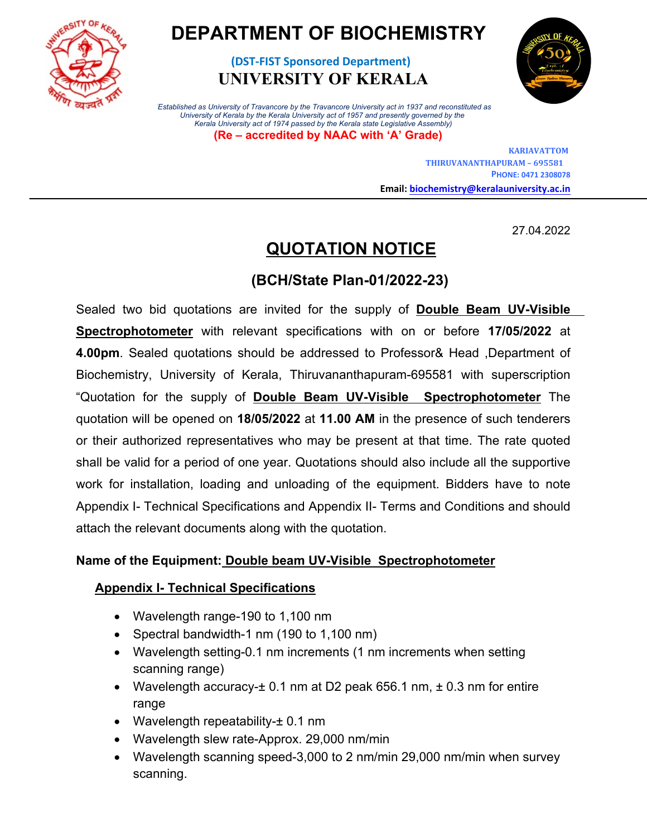

# **DEPARTMENT OF BIOCHEMISTRY**

**(DST-FIST Sponsored Department) UNIVERSITY OF KERALA**



*(Established as University of Travancore by the Travancore University act in 1937 and reconstituted as University of Kerala by the Kerala University act of 1957 and presently governed by the Kerala University act of 1974 passed by the Kerala state Legislative Assembly)*  **(Re – accredited by NAAC with 'A' Grade)**

> **KARIAVATTOM THIRUVANANTHAPURAM – 695581 PHONE: 0471 2308078 Email: biochemistry@keralauniversity.ac.in**

> > 27.04.2022

## **QUOTATION NOTICE**

### **(BCH/State Plan-01/2022-23)**

Sealed two bid quotations are invited for the supply of **Double Beam UV-Visible Spectrophotometer** with relevant specifications with on or before **17/05/2022** at **4.00pm**. Sealed quotations should be addressed to Professor& Head ,Department of Biochemistry, University of Kerala, Thiruvananthapuram-695581 with superscription "Quotation for the supply of **Double Beam UV-Visible Spectrophotometer** The quotation will be opened on **18/05/2022** at **11.00 AM** in the presence of such tenderers or their authorized representatives who may be present at that time. The rate quoted shall be valid for a period of one year. Quotations should also include all the supportive work for installation, loading and unloading of the equipment. Bidders have to note Appendix I- Technical Specifications and Appendix II- Terms and Conditions and should attach the relevant documents along with the quotation.

#### **Name of the Equipment: Double beam UV-Visible Spectrophotometer**

#### **Appendix I- Technical Specifications**

- Wavelength range-190 to 1,100 nm
- Spectral bandwidth-1 nm (190 to 1,100 nm)
- Wavelength setting-0.1 nm increments (1 nm increments when setting scanning range)
- Wavelength accuracy- $\pm$  0.1 nm at D2 peak 656.1 nm,  $\pm$  0.3 nm for entire range
- Wavelength repeatability-± 0.1 nm
- Wavelength slew rate-Approx. 29,000 nm/min
- Wavelength scanning speed-3,000 to 2 nm/min 29,000 nm/min when survey scanning.